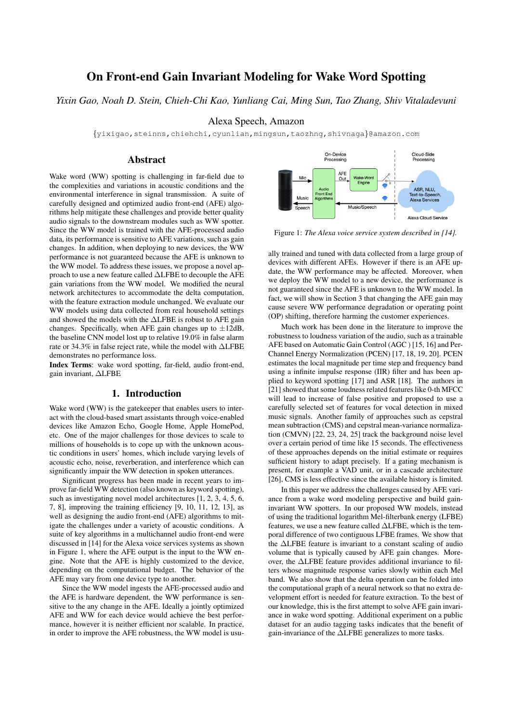# On Front-end Gain Invariant Modeling for Wake Word Spotting

*Yixin Gao, Noah D. Stein, Chieh-Chi Kao, Yunliang Cai, Ming Sun, Tao Zhang, Shiv Vitaladevuni*

Alexa Speech, Amazon

{yixigao,steinns,chiehchi,cyunlian,mingsun,taozhng,shivnaga}@amazon.com

# Abstract

Wake word (WW) spotting is challenging in far-field due to the complexities and variations in acoustic conditions and the environmental interference in signal transmission. A suite of carefully designed and optimized audio front-end (AFE) algorithms help mitigate these challenges and provide better quality audio signals to the downstream modules such as WW spotter. Since the WW model is trained with the AFE-processed audio data, its performance is sensitive to AFE variations, such as gain changes. In addition, when deploying to new devices, the WW performance is not guaranteed because the AFE is unknown to the WW model. To address these issues, we propose a novel approach to use a new feature called ∆LFBE to decouple the AFE gain variations from the WW model. We modified the neural network architectures to accommodate the delta computation, with the feature extraction module unchanged. We evaluate our WW models using data collected from real household settings and showed the models with the ∆LFBE is robust to AFE gain changes. Specifically, when AFE gain changes up to  $\pm 12$ dB, the baseline CNN model lost up to relative 19.0% in false alarm rate or 34.3% in false reject rate, while the model with ∆LFBE demonstrates no performance loss.

Index Terms: wake word spotting, far-field, audio front-end, gain invariant, ∆LFBE

# 1. Introduction

Wake word (WW) is the gatekeeper that enables users to interact with the cloud-based smart assistants through voice-enabled devices like Amazon Echo, Google Home, Apple HomePod, etc. One of the major challenges for those devices to scale to millions of households is to cope up with the unknown acoustic conditions in users' homes, which include varying levels of acoustic echo, noise, reverberation, and interference which can significantly impair the WW detection in spoken utterances.

Significant progress has been made in recent years to improve far-field WW detection (also known as keyword spotting), such as investigating novel model architectures [1, 2, 3, 4, 5, 6, 7, 8], improving the training efficiency [9, 10, 11, 12, 13], as well as designing the audio front-end (AFE) algorithms to mitigate the challenges under a variety of acoustic conditions. A suite of key algorithms in a multichannel audio front-end were discussed in [14] for the Alexa voice services systems as shown in Figure 1, where the AFE output is the input to the WW engine. Note that the AFE is highly customized to the device, depending on the computational budget. The behavior of the AFE may vary from one device type to another.

Since the WW model ingests the AFE-processed audio and the AFE is hardware dependent, the WW performance is sensitive to the any change in the AFE. Ideally a jointly optimized AFE and WW for each device would achieve the best performance, however it is neither efficient nor scalable. In practice, in order to improve the AFE robustness, the WW model is usu-



Figure 1: *The Alexa voice service system described in [14].*

ally trained and tuned with data collected from a large group of devices with different AFEs. However if there is an AFE update, the WW performance may be affected. Moreover, when we deploy the WW model to a new device, the performance is not guaranteed since the AFE is unknown to the WW model. In fact, we will show in Section 3 that changing the AFE gain may cause severe WW performance degradation or operating point (OP) shifting, therefore harming the customer experiences.

Much work has been done in the literature to improve the robustness to loudness variation of the audio, such as a trainable AFE based on Automatic Gain Control (AGC ) [15, 16] and Per-Channel Energy Normalization (PCEN) [17, 18, 19, 20]. PCEN estimates the local magnitude per time step and frequency band using a infinite impulse response (IIR) filter and has been applied to keyword spotting [17] and ASR [18]. The authors in [21] showed that some loudness related features like 0-th MFCC will lead to increase of false positive and proposed to use a carefully selected set of features for vocal detection in mixed music signals. Another family of approaches such as cepstral mean subtraction (CMS) and cepstral mean-variance normalization (CMVN) [22, 23, 24, 25] track the background noise level over a certain period of time like 15 seconds. The effectiveness of these approaches depends on the initial estimate or requires sufficient history to adapt precisely. If a gating mechanism is present, for example a VAD unit, or in a cascade architecture [26], CMS is less effective since the available history is limited.

In this paper we address the challenges caused by AFE variance from a wake word modeling perspective and build gaininvariant WW spotters. In our proposed WW models, instead of using the traditional logarithm Mel-filterbank energy (LFBE) features, we use a new feature called ∆LFBE, which is the temporal difference of two contiguous LFBE frames. We show that the ∆LFBE feature is invariant to a constant scaling of audio volume that is typically caused by AFE gain changes. Moreover, the ∆LFBE feature provides additional invariance to filters whose magnitude response varies slowly within each Mel band. We also show that the delta operation can be folded into the computational graph of a neural network so that no extra development effort is needed for feature extraction. To the best of our knowledge, this is the first attempt to solve AFE gain invariance in wake word spotting. Additional experiment on a public dataset for an audio tagging tasks indicates that the benefit of gain-invariance of the ∆LFBE generalizes to more tasks.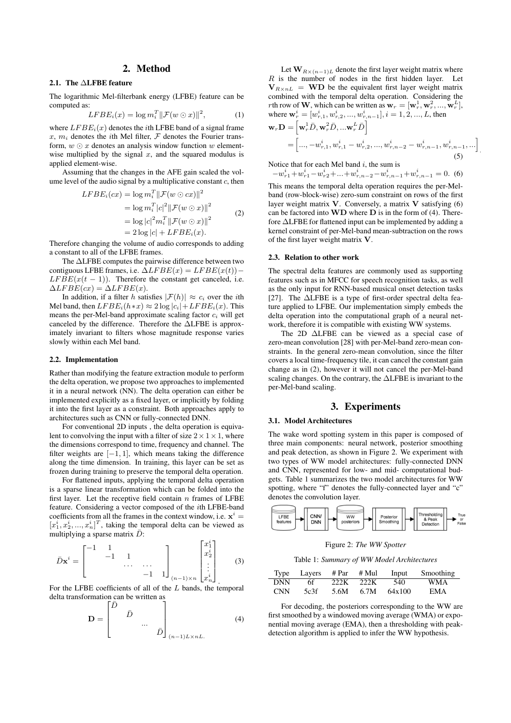# 2. Method

# 2.1. The ∆LFBE feature

The logarithmic Mel-filterbank energy (LFBE) feature can be computed as:

$$
LFBE_i(x) = \log m_i^T \|\mathcal{F}(w \odot x)\|^2, \tag{1}
$$

where  $LFBE<sub>i</sub>(x)$  denotes the *i*th LFBE band of a signal frame x,  $m_i$  denotes the *i*th Mel filter,  $\mathcal F$  denotes the Fourier transform,  $w \odot x$  denotes an analysis window function w elementwise multiplied by the signal  $x$ , and the squared modulus is applied element-wise.

Assuming that the changes in the AFE gain scaled the volume level of the audio signal by a multiplicative constant  $c$ , then

$$
LFBE_i(cx) = \log m_i^T ||\mathcal{F}(w \odot cx)||^2
$$
  
=  $\log m_i^T |c|^2 ||\mathcal{F}(w \odot x)||^2$   
=  $\log |c|^2 m_i^T ||\mathcal{F}(w \odot x)||^2$   
=  $2 \log |c| + LFBE_i(x).$  (2)

Therefore changing the volume of audio corresponds to adding a constant to all of the LFBE frames.

The ∆LFBE computes the pairwise difference between two contiguous LFBE frames, i.e.  $\Delta LFBE(x) = LFBE(x(t))$  –  $LF BE(x(t - 1))$ . Therefore the constant get canceled, i.e.  $\Delta LFBE(cx) = \Delta LFBE(x).$ 

In addition, if a filter h satisfies  $|\mathcal{F}(h)| \approx c_i$  over the *i*th Mel band, then  $LFBE_i(h*x) \approx 2 \log |c_i| + LFBE_i(x)$ . This means the per-Mel-band approximate scaling factor  $c_i$  will get canceled by the difference. Therefore the ∆LFBE is approximately invariant to filters whose magnitude response varies slowly within each Mel band.

#### 2.2. Implementation

Rather than modifying the feature extraction module to perform the delta operation, we propose two approaches to implemented it in a neural network (NN). The delta operation can either be implemented explicitly as a fixed layer, or implicitly by folding it into the first layer as a constraint. Both approaches apply to architectures such as CNN or fully-connected DNN.

For conventional 2D inputs , the delta operation is equivalent to convolving the input with a filter of size  $2 \times 1 \times 1$ , where the dimensions correspond to time, frequency and channel. The filter weights are  $[-1, 1]$ , which means taking the difference along the time dimension. In training, this layer can be set as frozen during training to preserve the temporal delta operation.

For flattened inputs, applying the temporal delta operation is a sparse linear transformation which can be folded into the first layer. Let the receptive field contain  $n$  frames of LFBE feature. Considering a vector composed of the ith LFBE-band coefficients from all the frames in the context window, i.e.  $x^i =$  $[x_1^i, x_2^i, ..., x_n^i]^T$ , taking the temporal delta can be viewed as multiplying a sparse matrix  $\bar{D}$ :

$$
\bar{D}\mathbf{x}^{i} = \begin{bmatrix} -1 & 1 & & & \\ & -1 & 1 & & \\ & & \cdots & \cdots & \\ & & & -1 & 1 \end{bmatrix} \begin{bmatrix} x_{1}^{i} \\ x_{2}^{i} \\ \vdots \\ x_{n}^{i} \end{bmatrix}
$$
 (3)

For the LFBE coefficients of all of the L bands, the temporal delta transformation can be written as

$$
\mathbf{D} = \begin{bmatrix} \bar{D} & & & \\ & \bar{D} & & \\ & & \ddots & \\ & & & \bar{D} \end{bmatrix}_{(n-1)L \times nL} \tag{4}
$$

Let  $\mathbf{W}_{R\times(n-1)L}$  denote the first layer weight matrix where  $R$  is the number of nodes in the first hidden layer. Let  $V_{R\times nL}$  = WD be the equivalent first layer weight matrix combined with the temporal delta operation. Considering the *r*th row of **W**, which can be written as  $\mathbf{w}_r = [\mathbf{w}_r^1, \mathbf{w}_r^2, ..., \mathbf{w}_r^L]$ , where  $\mathbf{w}_r^i = [w_{r,1}^i, w_{r,2}^i, ..., w_{r,n-1}^i], i = 1, 2, ..., L$ , then

$$
\mathbf{w}_r \mathbf{D} = \left[ \mathbf{w}_r^1 \bar{D}, \mathbf{w}_r^2 \bar{D}, \dots, \mathbf{w}_r^L \bar{D} \right]
$$
  
=  $\left[ \dots, -w_{r,1}^i, w_{r,1}^i - w_{r,2}^i, \dots, w_{r,n-2}^i - w_{r,n-1}^i, w_{r,n-1}^i, \dots \right]$  (5)

Notice that for each Mel band  $i$ , the sum is

 $-w_{r1}^i + w_{r1}^i - w_{r2}^i + ... + w_{r,n-2}^i - w_{r,n-1}^i + w_{r,n-1}^i = 0.$  (6)

This means the temporal delta operation requires the per-Melband (row-block-wise) zero-sum constraint on rows of the first layer weight matrix  $V$ . Conversely, a matrix  $V$  satisfying (6) can be factored into  $\bf{WD}$  where  $\bf{D}$  is in the form of (4). Therefore ∆LFBE for flattened input can be implemented by adding a kernel constraint of per-Mel-band mean-subtraction on the rows of the first layer weight matrix V.

### 2.3. Relation to other work

The spectral delta features are commonly used as supporting features such as in MFCC for speech recognition tasks, as well as the only input for RNN-based musical onset detection tasks [27]. The ∆LFBE is a type of first-order spectral delta feature applied to LFBE. Our implementation simply embeds the delta operation into the computational graph of a neural network, therefore it is compatible with existing WW systems.

The 2D ∆LFBE can be viewed as a special case of zero-mean convolution [28] with per-Mel-band zero-mean constraints. In the general zero-mean convolution, since the filter covers a local time-frequency tile, it can cancel the constant gain change as in (2), however it will not cancel the per-Mel-band scaling changes. On the contrary, the ∆LFBE is invariant to the per-Mel-band scaling.

# 3. Experiments

#### 3.1. Model Architectures

The wake word spotting system in this paper is composed of three main components: neural network, posterior smoothing and peak detection, as shown in Figure 2. We experiment with two types of WW model architectures: fully-connected DNN and CNN, represented for low- and mid- computational budgets. Table 1 summarizes the two model architectures for WW spotting, where "f" denotes the fully-connected layer and "c" denotes the convolution layer.



Figure 2: *The WW Spotter*

Table 1: *Summary of WW Model Architectures*

|            | Type Layers $#Par$ $#Mul$ |           | Input           | Smoothing  |
|------------|---------------------------|-----------|-----------------|------------|
| <b>DNN</b> | 6f.                       | 222K 222K | 540             | <b>WMA</b> |
| <b>CNN</b> | 5c3f                      | 5.6M      | $6.7M$ $64x100$ | <b>EMA</b> |

For decoding, the posteriors corresponding to the WW are first smoothed by a windowed moving average (WMA) or exponential moving average (EMA), then a thresholding with peakdetection algorithm is applied to infer the WW hypothesis.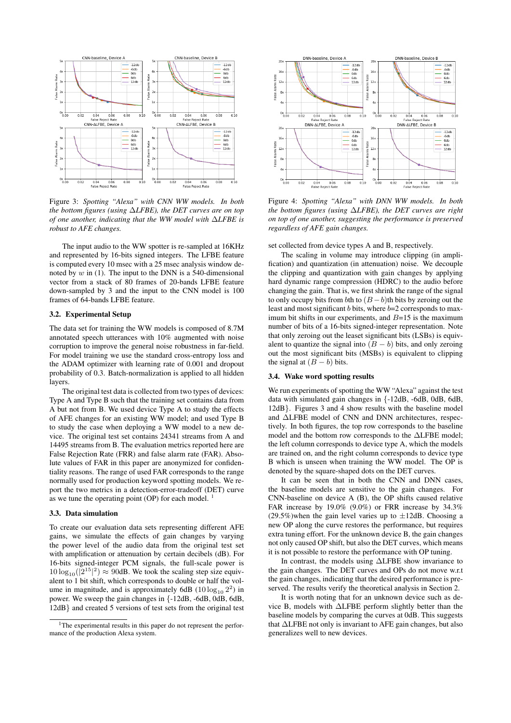

Figure 3: *Spotting "Alexa" with CNN WW models. In both the bottom figures (using* ∆*LFBE), the DET curves are on top of one another, indicating that the WW model with* ∆*LFBE is robust to AFE changes.*

The input audio to the WW spotter is re-sampled at 16KHz and represented by 16-bits signed integers. The LFBE feature is computed every 10 msec with a 25 msec analysis window denoted by  $w$  in (1). The input to the DNN is a 540-dimensional vector from a stack of 80 frames of 20-bands LFBE feature down-sampled by 3 and the input to the CNN model is 100 frames of 64-bands LFBE feature.

#### 3.2. Experimental Setup

The data set for training the WW models is composed of 8.7M annotated speech utterances with 10% augmented with noise corruption to improve the general noise robustness in far-field. For model training we use the standard cross-entropy loss and the ADAM optimizer with learning rate of 0.001 and dropout probability of 0.3. Batch-normalization is applied to all hidden layers.

The original test data is collected from two types of devices: Type A and Type B such that the training set contains data from A but not from B. We used device Type A to study the effects of AFE changes for an existing WW model; and used Type B to study the case when deploying a WW model to a new device. The original test set contains 24341 streams from A and 14495 streams from B. The evaluation metrics reported here are False Rejection Rate (FRR) and false alarm rate (FAR). Absolute values of FAR in this paper are anonymized for confidentiality reasons. The range of used FAR corresponds to the range normally used for production keyword spotting models. We report the two metrics in a detection-error-tradeoff (DET) curve as we tune the operating point (OP) for each model.  $\frac{1}{1}$ 

### 3.3. Data simulation

To create our evaluation data sets representing different AFE gains, we simulate the effects of gain changes by varying the power level of the audio data from the original test set with amplification or attenuation by certain decibels (dB). For 16-bits signed-integer PCM signals, the full-scale power is  $10 \log_{10}(|2^{15}|^2) \approx 90$ dB. We took the scaling step size equivalent to 1 bit shift, which corresponds to double or half the volume in magnitude, and is approximately 6dB  $(10\log_{10} 2^2)$  in power. We sweep the gain changes in {-12dB, -6dB, 0dB, 6dB, 12dB} and created 5 versions of test sets from the original test



Figure 4: *Spotting "Alexa" with DNN WW models. In both the bottom figures (using* ∆*LFBE), the DET curves are right on top of one another, suggesting the performance is preserved regardless of AFE gain changes.*

set collected from device types A and B, respectively.

The scaling in volume may introduce clipping (in amplification) and quantization (in attenuation) noise. We decouple the clipping and quantization with gain changes by applying hard dynamic range compression (HDRC) to the audio before changing the gain. That is, we first shrink the range of the signal to only occupy bits from bth to  $(B - b)$ th bits by zeroing out the least and most significant  $b$  bits, where  $b=2$  corresponds to maximum bit shifts in our experiments, and  $B=15$  is the maximum number of bits of a 16-bits signed-integer representation. Note that only zeroing out the leaset significant bits (LSBs) is equivalent to quantize the signal into  $(B - b)$  bits, and only zeroing out the most significant bits (MSBs) is equivalent to clipping the signal at  $(B - b)$  bits.

#### 3.4. Wake word spotting results

We run experiments of spotting the WW "Alexa" against the test data with simulated gain changes in {-12dB, -6dB, 0dB, 6dB, 12dB}. Figures 3 and 4 show results with the baseline model and ∆LFBE model of CNN and DNN architectures, respectively. In both figures, the top row corresponds to the baseline model and the bottom row corresponds to the ∆LFBE model; the left column corresponds to device type A, which the models are trained on, and the right column corresponds to device type B which is unseen when training the WW model. The OP is denoted by the square-shaped dots on the DET curves.

It can be seen that in both the CNN and DNN cases, the baseline models are sensitive to the gain changes. For CNN-baseline on device A (B), the OP shifts caused relative FAR increase by 19.0% (9.0%) or FRR increase by 34.3% (29.5%)when the gain level varies up to  $\pm 12$ dB. Choosing a new OP along the curve restores the performance, but requires extra tuning effort. For the unknown device B, the gain changes not only caused OP shift, but also the DET curves, which means it is not possible to restore the performance with OP tuning.

In contrast, the models using ∆LFBE show invariance to the gain changes. The DET curves and OPs do not move w.r.t the gain changes, indicating that the desired performance is preserved. The results verify the theoretical analysis in Section 2.

It is worth noting that for an unknown device such as device B, models with ∆LFBE perform slightly better than the baseline models by comparing the curves at 0dB. This suggests that ∆LFBE not only is invariant to AFE gain changes, but also generalizes well to new devices.

<sup>&</sup>lt;sup>1</sup>The experimental results in this paper do not represent the performance of the production Alexa system.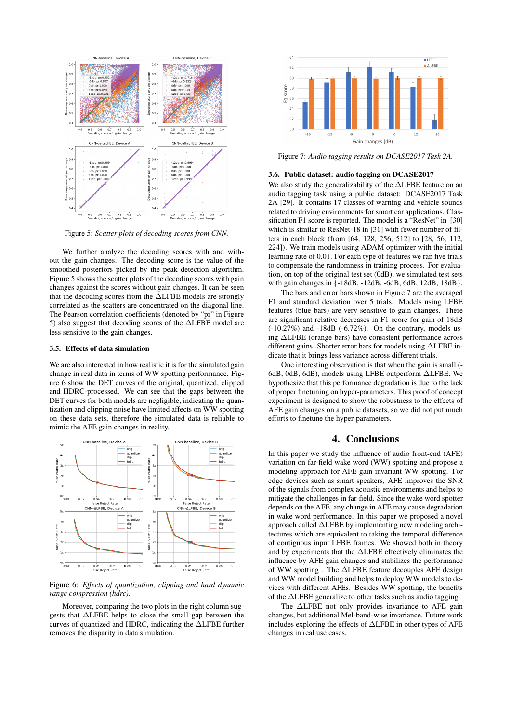

Figure 5: *Scatter plots of decoding scores from CNN.*

We further analyze the decoding scores with and without the gain changes. The decoding score is the value of the smoothed posteriors picked by the peak detection algorithm. Figure 5 shows the scatter plots of the decoding scores with gain changes against the scores without gain changes. It can be seen that the decoding scores from the ∆LFBE models are strongly correlated as the scatters are concentrated on the diagonal line. The Pearson correlation coefficients (denoted by "pr" in Figure 5) also suggest that decoding scores of the ∆LFBE model are less sensitive to the gain changes.

#### 3.5. Effects of data simulation

We are also interested in how realistic it is for the simulated gain change in real data in terms of WW spotting performance. Figure 6 show the DET curves of the original, quantized, clipped and HDRC-processed. We can see that the gaps between the DET curves for both models are negligible, indicating the quantization and clipping noise have limited affects on WW spotting on these data sets, therefore the simulated data is reliable to mimic the AFE gain changes in reality.



Figure 6: *Effects of quantization, clipping and hard dynamic range compression (hdrc).*

Moreover, comparing the two plots in the right column suggests that ∆LFBE helps to close the small gap between the curves of quantized and HDRC, indicating the ∆LFBE further removes the disparity in data simulation.



Figure 7: *Audio tagging results on DCASE2017 Task 2A.*

#### 3.6. Public dataset: audio tagging on DCASE2017

We also study the generalizability of the ∆LFBE feature on an audio tagging task using a public dataset: DCASE2017 Task 2A [29]. It contains 17 classes of warning and vehicle sounds related to driving environments for smart car applications. Classification F1 score is reported. The model is a "ResNet" in [30] which is similar to ResNet-18 in [31] with fewer number of filters in each block (from [64, 128, 256, 512] to [28, 56, 112, 224]). We train models using ADAM optimizer with the initial learning rate of 0.01. For each type of features we ran five trials to compensate the randomness in training process. For evaluation, on top of the original test set (0dB), we simulated test sets with gain changes in {-18dB, -12dB, -6dB, 6dB, 12dB, 18dB}.

The bars and error bars shown in Figure 7 are the averaged F1 and standard deviation over 5 trials. Models using LFBE features (blue bars) are very sensitive to gain changes. There are significant relative decreases in F1 score for gain of 18dB  $(-10.27%)$  and  $-18dB$   $(-6.72%)$ . On the contrary, models using ∆LFBE (orange bars) have consistent performance across different gains. Shorter error bars for models using ∆LFBE indicate that it brings less variance across different trials.

One interesting observation is that when the gain is small (- 6dB, 0dB, 6dB), models using LFBE outperform ∆LFBE. We hypothesize that this performance degradation is due to the lack of proper finetuning on hyper-parameters. This proof of concept experiment is designed to show the robustness to the effects of AFE gain changes on a public datasets, so we did not put much efforts to finetune the hyper-parameters.

### 4. Conclusions

In this paper we study the influence of audio front-end (AFE) variation on far-field wake word (WW) spotting and propose a modeling approach for AFE gain invariant WW spotting. For edge devices such as smart speakers, AFE improves the SNR of the signals from complex acoustic environments and helps to mitigate the challenges in far-field. Since the wake word spotter depends on the AFE, any change in AFE may cause degradation in wake word performance. In this paper we proposed a novel approach called ∆LFBE by implementing new modeling architectures which are equivalent to taking the temporal difference of contiguous input LFBE frames. We showed both in theory and by experiments that the ∆LFBE effectively eliminates the influence by AFE gain changes and stabilizes the performance of WW spotting . The ∆LFBE feature decouples AFE design and WW model building and helps to deploy WW models to devices with different AFEs. Besides WW spotting, the benefits of the ∆LFBE generalize to other tasks such as audio tagging.

The ∆LFBE not only provides invariance to AFE gain changes, but additional Mel-band-wise invariance. Future work includes exploring the effects of ∆LFBE in other types of AFE changes in real use cases.